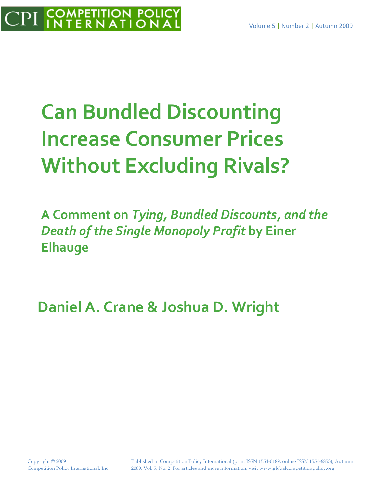# **Can Bundled Discounting Increase Consumer Prices Without Excluding Rivals?**

**A Comment on** *Tying, Bundled Discounts, and the Death of the Single Monopoly Profit* **by Einer Elhauge**

**Daniel A. Crane & Joshua D. Wright**

Published in Competition Policy International (print ISSN 1554‐0189, online ISSN 1554‐6853), Autumn 2009, Vol. 5, No. 2. For articles and more information, visit www.globalcompetitionpolicy.org.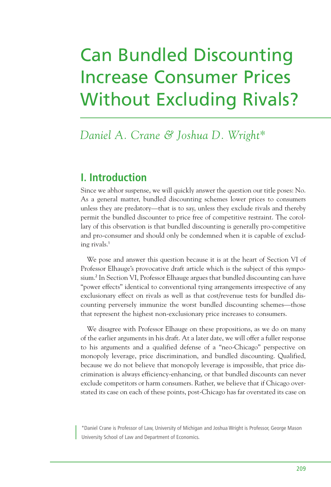## Can Bundled Discounting Increase Consumer Prices Without Excluding Rivals?

### *Daniel A. Crane & Joshua D. Wright\**

#### **I. Introduction**

Since we abhor suspense, we will quickly answer the question our title poses: No. As a general matter, bundled discounting schemes lower prices to consumers unless they are predatory—that is to say, unless they exclude rivals and thereby permit the bundled discounter to price free of competitive restraint. The corollary of this observation is that bundled discounting is generally pro-competitive and pro-consumer and should only be condemned when it is capable of excluding rivals. 1

We pose and answer this question because it is at the heart of Section VI of Professor Elhauge's provocative draft article which is the subject of this symposium. <sup>2</sup> In Section VI, Professor Elhauge argues that bundled discounting can have "power effects" identical to conventional tying arrangements irrespective of any exclusionary effect on rivals as well as that cost/revenue tests for bundled discounting perversely immunize the worst bundled discounting schemes—those that represent the highest non-exclusionary price increases to consumers.

We disagree with Professor Elhauge on these propositions, as we do on many of the earlier arguments in his draft. At a later date, we will offer a fuller response to his arguments and a qualified defense of a "neo-Chicago" perspective on monopoly leverage, price discrimination, and bundled discounting. Qualified, because we do not believe that monopoly leverage is impossible, that price discrimination is always efficiency-enhancing, or that bundled discounts can never exclude competitors or harm consumers. Rather, we believe that if Chicago overstated its case on each of these points, post-Chicago has far overstated its case on

\*Daniel Crane is Professor of Law, University of Michigan and Joshua Wright is Professor, George Mason University School of Law and Department of Economics.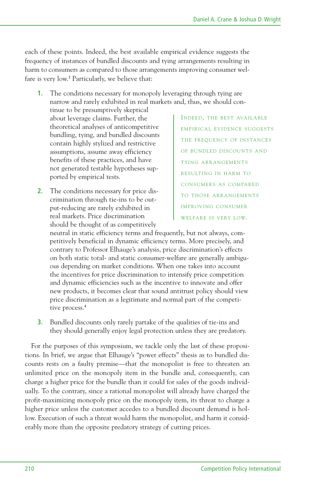each of these points. Indeed, the best available empirical evidence suggests the frequency of instances of bundled discounts and tying arrangements resulting in harm to consumers as compared to those arrangements improving consumer welfare is very low.<sup>3</sup> Particularly, we believe that:

**1.** The conditions necessary for monopoly leveraging through tying are narrow and rarely exhibited in real markets and, thus, we should con-

tinue to be presumptively skeptical about leverage claims. Further, the theoretical analyses of anticompetitive bundling, tying, and bundled discounts contain highly stylized and restrictive assumptions, assume away efficiency benefits of these practices, and have not generated testable hypotheses supported by empirical tests.

**2.** The conditions necessary for price discrimination through tie-ins to be output-reducing are rarely exhibited in real markets. Price discrimination should be thought of as competitively

INDEED, THE BEST AVAILABLE EMPIRICAL EVIDENCE SUGGESTS THE FREQUENCY OF INSTANCES OF BUNDLED DISCOUNTS AND TYING ARRANGEMENTS RESULTING IN HARM TO CONSUMERS AS COMPARED TO THOSE ARRANGEMENTS IMPROVING CONSUMER WELFARE IS VERY LOW.

neutral in static efficiency terms and frequently, but not always, competitively beneficial in dynamic efficiency terms. More precisely, and contrary to Professor Elhauge's analysis, price discrimination's effects on both static total- and static consumer-welfare are generally ambiguous depending on market conditions. When one takes into account the incentives for price discrimination to intensify price competition and dynamic efficiencies such as the incentive to innovate and offer new products, it becomes clear that sound antitrust policy should view price discrimination as a legitimate and normal part of the competi--<br>tive process.<sup>4</sup>

**3.** Bundled discounts only rarely partake of the qualities of tie-ins and they should generally enjoy legal protection unless they are predatory.

For the purposes of this symposium, we tackle only the last of these propositions. In brief, we argue that Elhauge's "power effects" thesis as to bundled discounts rests on a faulty premise—that the monopolist is free to threaten an unlimited price on the monopoly item in the bundle and, consequently, can charge a higher price for the bundle than it could for sales of the goods individually. To the contrary, since a rational monopolist will already have charged the profit-maximizing monopoly price on the monopoly item, its threat to charge a higher price unless the customer accedes to a bundled discount demand is hollow. Execution of such a threat would harm the monopolist, and harm it considerably more than the opposite predatory strategy of cutting prices.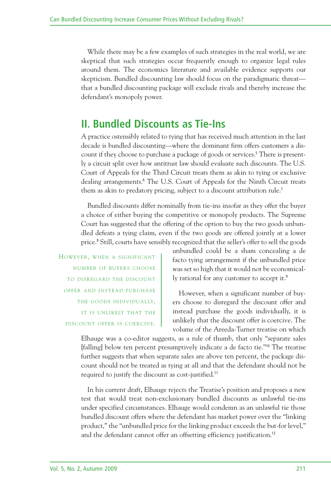While there may be a few examples of such strategies in the real world, we are skeptical that such strategies occur frequently enough to organize legal rules around them. The economics literature and available evidence supports our skepticism. Bundled discounting law should focus on the paradigmatic threat that a bundled discounting package will exclude rivals and thereby increase the defendant's monopoly power.

#### **II. Bundled Discounts as Tie-Ins**

A practice ostensibly related to tying that has received much attention in the last decade is bundled discounting—where the dominant firm offers customers a discount if they choose to purchase a package of goods or services. <sup>5</sup> There is presently a circuit split over how antitrust law should evaluate such discounts. The U.S. Court of Appeals for the Third Circuit treats them as akin to tying or exclusive dealing arrangements. <sup>6</sup> The U.S. Court of Appeals for the Ninth Circuit treats them as akin to predatory pricing, subject to a discount attribution rule.<sup>7</sup>

Bundled discounts differ nominally from tie-ins insofar as they offer the buyer a choice of either buying the competitive or monopoly products. The Supreme Court has suggested that the offering of the option to buy the two goods unbundled defeats a tying claim, even if the two goods are offered jointly at a lower price. <sup>8</sup> Still, courts have sensibly recognized that the seller's offer to sell the goods

HOWEVER, WHEN A SIGNIFICANT NUMBER OF BUYERS CHOOSE TO DISREGARD THE DISCOUNT OFFER AND INSTEAD PURCHASE THE GOODS INDIVIDUALLY, IT IS UNLIKELY THAT THE DISCOUNT OFFER IS COERCIVE.

unbundled could be a sham concealing a de facto tying arrangement if the unbundled price was set so high that it would not be economically rational for any customer to accept it.<sup>9</sup>

However, when a significant number of buyers choose to disregard the discount offer and instead purchase the goods individually, it is unlikely that the discount offer is coercive. The volume of the Areeda-Turner treatise on which

Elhauge was a co-editor suggests, as a rule of thumb, that only "separate sales [falling] below ten percent presumptively indicate a de facto tie."<sup>10</sup> The treatise further suggests that when separate sales are above ten percent, the package discount should not be treated as tying at all and that the defendant should not be required to justify the discount as cost-justified.<sup>11</sup>

In his current draft, Elhauge rejects the Treatise's position and proposes a new test that would treat non-exclusionary bundled discounts as unlawful tie-ins under specified circumstances. Elhauge would condemn as an unlawful tie those bundled discount offers where the defendant has market power over the "linking product," the "unbundled price for the linking product exceeds the but-for level," and the defendant cannot offer an offsetting efficiency justification.<sup>12</sup>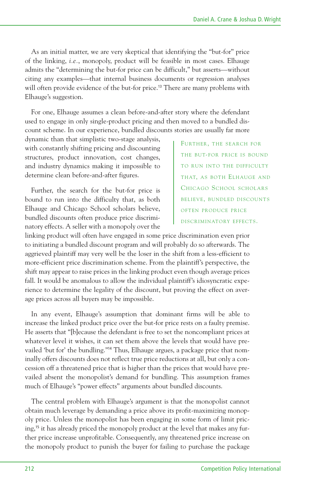As an initial matter, we are very skeptical that identifying the "but-for" price of the linking, *i.e.*, monopoly, product will be feasible in most cases. Elhauge admits the "determining the but-for price can be difficult," but asserts—without citing any examples—that internal business documents or regression analyses will often provide evidence of the but-for price.<sup>13</sup> There are many problems with Elhauge's suggestion.

For one, Elhauge assumes a clean before-and-after story where the defendant used to engage in only single-product pricing and then moved to a bundled discount scheme. In our experience, bundled discounts stories are usually far more

dynamic than that simplistic two-stage analysis, with constantly shifting pricing and discounting structures, product innovation, cost changes, and industry dynamics making it impossible to determine clean before-and-after figures.

Further, the search for the but-for price is bound to run into the difficulty that, as both Elhauge and Chicago School scholars believe, bundled discounts often produce price discriminatory effects. A seller with a monopoly over the

FURTHER, THE SEARCH FOR THE BUT-FOR PRICE IS BOUND TO RUN INTO THE DIFFICULTY THAT, AS BOTH ELHAUGE AND CHICAGO SCHOOL SCHOLARS BELIEVE, BUNDLED DISCOUNTS OFTEN PRODUCE PRICE DISCRIMINATORY EFFECTS.

linking product will often have engaged in some price discrimination even prior to initiating a bundled discount program and will probably do so afterwards. The aggrieved plaintiff may very well be the loser in the shift from a less-efficient to more-efficient price discrimination scheme. From the plaintiff's perspective, the shift may appear to raise prices in the linking product even though average prices fall. It would be anomalous to allow the individual plaintiff's idiosyncratic experience to determine the legality of the discount, but proving the effect on average prices across all buyers may be impossible.

In any event, Elhauge's assumption that dominant firms will be able to increase the linked product price over the but-for price rests on a faulty premise. He asserts that "[b]ecause the defendant is free to set the noncompliant prices at whatever level it wishes, it can set them above the levels that would have prevailed 'but for' the bundling."<sup>14</sup> Thus, Elhauge argues, a package price that nominally offers discounts does not reflect true price reductions at all, but only a concession off a threatened price that is higher than the prices that would have prevailed absent the monopolist's demand for bundling. This assumption frames much of Elhauge's "power effects" arguments about bundled discounts.

The central problem with Elhauge's argument is that the monopolist cannot obtain much leverage by demanding a price above its profit-maximizing monopoly price. Unless the monopolist has been engaging in some form of limit pricing, <sup>15</sup> it has already priced the monopoly product at the level that makes any further price increase unprofitable. Consequently, any threatened price increase on the monopoly product to punish the buyer for failing to purchase the package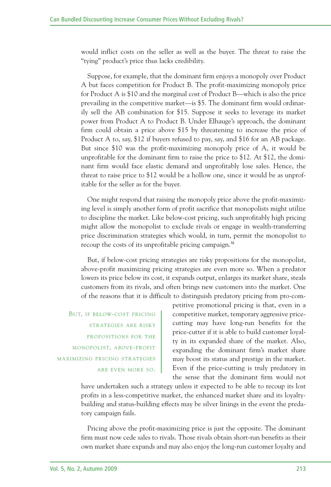would inflict costs on the seller as well as the buyer. The threat to raise the "tying" product's price thus lacks credibility.

Suppose, for example, that the dominant firm enjoys a monopoly over Product A but faces competition for Product B. The profit-maximizing monopoly price for Product A is \$10 and the marginal cost of Product B—which is also the price prevailing in the competitive market—is \$5. The dominant firm would ordinarily sell the AB combination for \$15. Suppose it seeks to leverage its market power from Product A to Product B. Under Elhauge's approach, the dominant firm could obtain a price above \$15 by threatening to increase the price of Product A to, say, \$12 if buyers refused to pay, say, and \$16 for an AB package. But since \$10 was the profit-maximizing monopoly price of A, it would be unprofitable for the dominant firm to raise the price to \$12. At \$12, the dominant firm would face elastic demand and unprofitably lose sales. Hence, the threat to raise price to \$12 would be a hollow one, since it would be as unprofitable for the seller as for the buyer.

One might respond that raising the monopoly price above the profit-maximizing level is simply another form of profit sacrifice that monopolists might utilize to discipline the market. Like below-cost pricing, such unprofitably high pricing might allow the monopolist to exclude rivals or engage in wealth-transferring price discrimination strategies which would, in turn, permit the monopolist to recoup the costs of its unprofitable pricing campaign.<sup>16</sup>

But, if below-cost pricing strategies are risky propositions for the monopolist, above-profit maximizing pricing strategies are even more so. When a predator lowers its price below its cost, it expands output, enlarges its market share, steals customers from its rivals, and often brings new customers into the market. One of the reasons that it is difficult to distinguish predatory pricing from pro-com-

BUT, IF BELOW-COST PRICING STRATEGIES ARE RISKY PROPOSITIONS FOR THE MONOPOLIST, ABOVE-PROFIT MAXIMIZING PRICING STRATEGIES ARE EVEN MORE SO. petitive promotional pricing is that, even in a competitive market, temporary aggressive pricecutting may have long-run benefits for the price-cutter if it is able to build customer loyalty in its expanded share of the market. Also, expanding the dominant firm's market share may boost its status and prestige in the market. Even if the price-cutting is truly predatory in the sense that the dominant firm would not

have undertaken such a strategy unless it expected to be able to recoup its lost profits in a less-competitive market, the enhanced market share and its loyaltybuilding and status-building effects may be silver linings in the event the predatory campaign fails.

Pricing above the profit-maximizing price is just the opposite. The dominant firm must now cede sales to rivals. Those rivals obtain short-run benefits as their own market share expands and may also enjoy the long-run customer loyalty and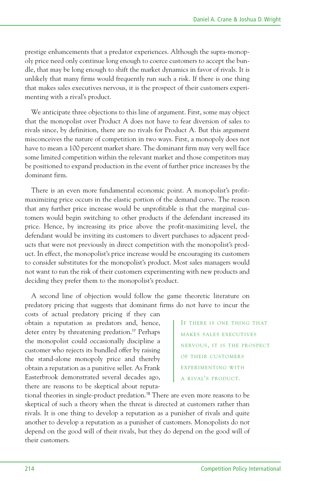prestige enhancements that a predator experiences. Although the supra-monopoly price need only continue long enough to coerce customers to accept the bundle, that may be long enough to shift the market dynamics in favor of rivals. It is unlikely that many firms would frequently run such a risk. If there is one thing that makes sales executives nervous, it is the prospect of their customers experimenting with a rival's product.

We anticipate three objections to this line of argument. First, some may object that the monopolist over Product A does not have to fear diversion of sales to rivals since, by definition, there are no rivals for Product A. But this argument misconceives the nature of competition in two ways. First, a monopoly does not have to mean a 100 percent market share. The dominant firm may very well face some limited competition within the relevant market and those competitors may be positioned to expand production in the event of further price increases by the dominant firm.

There is an even more fundamental economic point. A monopolist's profitmaximizing price occurs in the elastic portion of the demand curve. The reason that any further price increase would be unprofitable is that the marginal customers would begin switching to other products if the defendant increased its price. Hence, by increasing its price above the profit-maximizing level, the defendant would be inviting its customers to divert purchases to adjacent products that were not previously in direct competition with the monopolist's product. In effect, the monopolist's price increase would be encouraging its customers to consider substitutes for the monopolist's product. Most sales managers would not want to run the risk of their customers experimenting with new products and deciding they prefer them to the monopolist's product.

A second line of objection would follow the game theoretic literature on predatory pricing that suggests that dominant firms do not have to incur the

costs of actual predatory pricing if they can obtain a reputation as predators and, hence, deter entry by threatening predation. <sup>17</sup> Perhaps the monopolist could occasionally discipline a customer who rejects its bundled offer by raising the stand-alone monopoly price and thereby obtain a reputation as a punitive seller. As Frank Easterbrook demonstrated several decades ago, there are reasons to be skeptical about reputa-

IF THERE IS ONE THING THAT MAKES SALES EXECUTIVES NERVOUS, IT IS THE PROSPECT OF THEIR CUSTOMERS EXPERIMENTING WITH A RIVAL'S PRODUCT.

tional theories in single-product predation. <sup>18</sup> There are even more reasons to be skeptical of such a theory when the threat is directed at customers rather than rivals. It is one thing to develop a reputation as a punisher of rivals and quite another to develop a reputation as a punisher of customers. Monopolists do not depend on the good will of their rivals, but they do depend on the good will of their customers.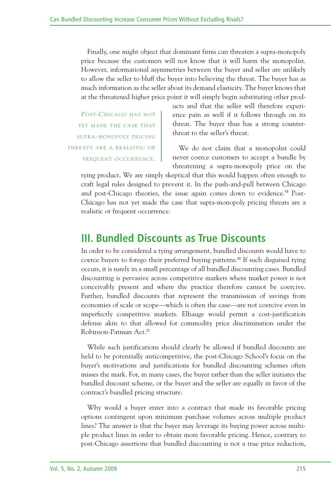Finally, one might object that dominant firms can threaten a supra-monopoly price because the customers will not know that it will harm the monopolist. However, informational asymmetries between the buyer and seller are unlikely to allow the seller to bluff the buyer into believing the threat. The buyer has as much information as the seller about its demand elasticity. The buyer knows that at the threatened higher price point it will simply begin substituting other prod-

POST-CHICAGO HAS NOT YET MADE THE CASE THAT SUPRA-MONOPOLY PRICING THREATS ARE A REALISTIC OR FREQUENT OCCURRENCE.

ucts and that the seller will therefore experience pain as well if it follows through on its threat. The buyer thus has a strong counterthreat to the seller's threat.

We do not claim that a monopolist could never coerce customers to accept a bundle by threatening a supra-monopoly price on the

tying product. We are simply skeptical that this would happen often enough to craft legal rules designed to prevent it. In the push-and-pull between Chicago and post-Chicago theories, the issue again comes down to evidence. <sup>19</sup> Post-Chicago has not yet made the case that supra-monopoly pricing threats are a realistic or frequent occurrence.

#### **III. Bundled Discounts as True Discounts**

In order to be considered a tying arrangement, bundled discounts would have to coerce buyers to forego their preferred buying patterns. <sup>20</sup> If such disguised tying occurs, it is surely in a small percentage of all bundled discounting cases. Bundled discounting is pervasive across competitive markets where market power is not conceivably present and where the practice therefore cannot be coercive. Further, bundled discounts that represent the transmission of savings from economies of scale or scope—which is often the case—are not coercive even in imperfectly competitive markets. Elhauge would permit a cost-justification defense akin to that allowed for commodity price discrimination under the Robinson-Patman Act. 21

While such justifications should clearly be allowed if bundled discounts are held to be potentially anticompetitive, the post-Chicago School's focus on the buyer's motivations and justifications for bundled discounting schemes often misses the mark. For, in many cases, the buyer rather than the seller initiates the bundled discount scheme, or the buyer and the seller are equally in favor of the contract's bundled pricing structure.

Why would a buyer enter into a contract that made its favorable pricing options contingent upon minimum purchase volumes across multiple product lines? The answer is that the buyer may leverage its buying power across multiple product lines in order to obtain more favorable pricing. Hence, contrary to post-Chicago assertions that bundled discounting is not a true price reduction,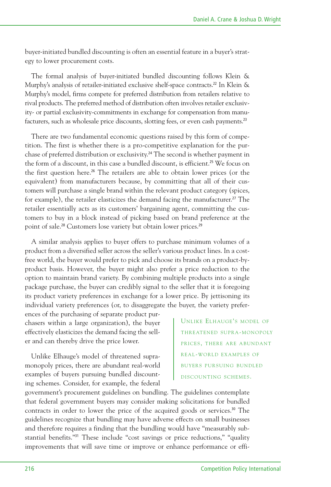buyer-initiated bundled discounting is often an essential feature in a buyer's strategy to lower procurement costs.

The formal analysis of buyer-initiated bundled discounting follows Klein & Murphy's analysis of retailer-initiated exclusive shelf-space contracts. <sup>22</sup> In Klein & Murphy's model, firms compete for preferred distribution from retailers relative to rival products. The preferred method of distribution often involves retailer exclusivity- or partial exclusivity-commitments in exchange for compensation from manufacturers, such as wholesale price discounts, slotting fees, or even cash payments.<sup>23</sup>

There are two fundamental economic questions raised by this form of competition. The first is whether there is a pro-competitive explanation for the purchase of preferred distribution or exclusivity. <sup>24</sup> The second is whether payment in the form of a discount, in this case a bundled discount, is efficient.<sup>25</sup> We focus on the first question here.<sup>26</sup> The retailers are able to obtain lower prices (or the equivalent) from manufacturers because, by committing that all of their customers will purchase a single brand within the relevant product category (spices, for example), the retailer elasticizes the demand facing the manufacturer.<sup>27</sup> The retailer essentially acts as its customers' bargaining agent, committing the customers to buy in a block instead of picking based on brand preference at the point of sale.<sup>28</sup> Customers lose variety but obtain lower prices.<sup>29</sup>

A similar analysis applies to buyer offers to purchase minimum volumes of a product from a diversified seller across the seller's various product lines. In a costfree world, the buyer would prefer to pick and choose its brands on a product-byproduct basis. However, the buyer might also prefer a price reduction to the option to maintain brand variety. By combining multiple products into a single package purchase, the buyer can credibly signal to the seller that it is foregoing its product variety preferences in exchange for a lower price. By jettisoning its individual variety preferences (or, to disaggregate the buyer, the variety prefer-

ences of the purchasing of separate product purchasers within a large organization), the buyer effectively elasticizes the demand facing the seller and can thereby drive the price lower.

Unlike Elhauge's model of threatened supramonopoly prices, there are abundant real-world examples of buyers pursuing bundled discounting schemes. Consider, for example, the federal

UNLIKE ELHAUGE'S MODEL OF THREATENED SUPRA-MONOPOLY PRICES, THERE ARE ABUNDANT REAL-WORLD EXAMPLES OF BUYERS PURSUING BUNDLED DISCOUNTING SCHEMES.

government's procurement guidelines on bundling. The guidelines contemplate that federal government buyers may consider making solicitations for bundled contracts in order to lower the price of the acquired goods or services. <sup>30</sup> The guidelines recognize that bundling may have adverse effects on small businesses and therefore requires a finding that the bundling would have "measurably substantial benefits."<sup>31</sup> These include "cost savings or price reductions," "quality improvements that will save time or improve or enhance performance or effi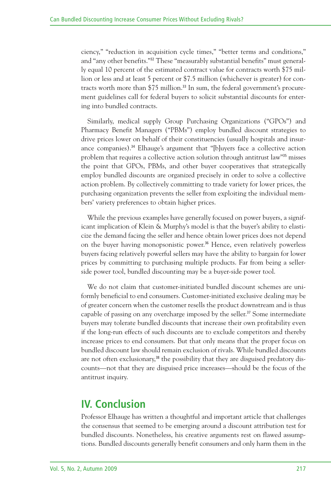ciency," "reduction in acquisition cycle times," "better terms and conditions," and "any other benefits."<sup>32</sup> These "measurably substantial benefits" must generally equal 10 percent of the estimated contract value for contracts worth \$75 million or less and at least 5 percent or \$7.5 million (whichever is greater) for contracts worth more than \$75 million. <sup>33</sup> In sum, the federal government's procurement guidelines call for federal buyers to solicit substantial discounts for entering into bundled contracts.

Similarly, medical supply Group Purchasing Organizations ("GPOs") and Pharmacy Benefit Managers ("PBMs") employ bundled discount strategies to drive prices lower on behalf of their constituencies (usually hospitals and insurance companies). <sup>34</sup> Elhauge's argument that "[b]uyers face a collective action problem that requires a collective action solution through antitrust law"<sup>35</sup> misses the point that GPOs, PBMs, and other buyer cooperatives that strategically employ bundled discounts are organized precisely in order to solve a collective action problem. By collectively committing to trade variety for lower prices, the purchasing organization prevents the seller from exploiting the individual members' variety preferences to obtain higher prices.

While the previous examples have generally focused on power buyers, a significant implication of Klein & Murphy's model is that the buyer's ability to elasticize the demand facing the seller and hence obtain lower prices does not depend on the buyer having monopsonistic power. <sup>36</sup> Hence, even relatively powerless buyers facing relatively powerful sellers may have the ability to bargain for lower prices by committing to purchasing multiple products. Far from being a sellerside power tool, bundled discounting may be a buyer-side power tool.

We do not claim that customer-initiated bundled discount schemes are uniformly beneficial to end consumers. Customer-initiated exclusive dealing may be of greater concern when the customer resells the product downstream and is thus capable of passing on any overcharge imposed by the seller. <sup>37</sup> Some intermediate buyers may tolerate bundled discounts that increase their own profitability even if the long-run effects of such discounts are to exclude competitors and thereby increase prices to end consumers. But that only means that the proper focus on bundled discount law should remain exclusion of rivals. While bundled discounts are not often exclusionary.<sup>38</sup> the possibility that they are disguised predatory discounts—not that they are disguised price increases—should be the focus of the antitrust inquiry.

#### **IV. Conclusion**

Professor Elhauge has written a thoughtful and important article that challenges the consensus that seemed to be emerging around a discount attribution test for bundled discounts. Nonetheless, his creative arguments rest on flawed assumptions. Bundled discounts generally benefit consumers and only harm them in the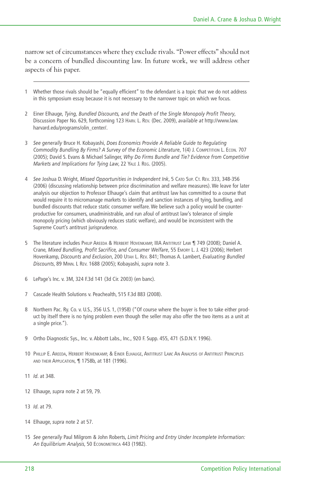narrow set of circumstances where they exclude rivals. "Power effects" should not be a concern of bundled discounting law. In future work, we will address other aspects of his paper.

- 1 Whether those rivals should be "equally efficient" to the defendant is a topic that we do not address in this symposium essay because it is not necessary to the narrower topic on which we focus.
- 2 Einer Elhauge, *Tying, Bundled Discounts, and the Death of the Single Monopoly Profit Theory*, Discussion Paper No. 629, forthcoming 123 HARV. L. REV. (Dec. 2009), *available at* http://www.law. harvard.edu/programs/olin\_center/.
- 3 *See generally* Bruce H. Kobayashi, *Does Economics Provide A Reliable Guide to Regulating Commodity Bundling By Firms? A Survey of the Economic Literature*, 1(4) J. COMPETITION L. ECON. 707 (2005); David S. Evans & Michael Salinger, *Why Do Firms Bundle and Tie? Evidence from Competitive Markets and Implications for Tying Law*, 22 YALE J. REG. (2005).
- 4 *See* Joshua D. Wright, *Missed Opportunities in Independent Ink*, 5 CATO SUP. CT. REV. 333, 348-356 (2006) (discussing relationship between price discrimination and welfare measures). We leave for later analysis our objection to Professor Elhauge's claim that antitrust law has committed to a course that would require it to micromanage markets to identify and sanction instances of tying, bundling, and bundled discounts that reduce static consumer welfare. We believe such a policy would be counterproductive for consumers, unadministrable, and run afoul of antitrust law's tolerance of simple monopoly pricing (which obviously reduces static welfare), and would be inconsistent with the Supreme Court's antitrust jurisprudence.
- 5 The literature includes PHILIP AREEDA & HERBERT HOVENKAMP, IIIA ANTITRUST LAW 1749 (2008); Daniel A. Crane, *Mixed Bundling, Profit Sacrifice, and Consumer Welfare*, 55 EMORY L. J. 423 (2006); Herbert Hovenkamp, *Discounts and Exclusion*, 200 UTAH L. REV. 841; Thomas A. Lambert, *Evaluating Bundled Discounts*, 89 MINN. L REV. 1688 (2005); Kobayashi, *supra* note 3.
- 6 LePage's Inc. v. 3M, 324 F.3d 141 (3d Cir. 2003) (en banc).
- 7 Cascade Health Solutions v. Peachealth, 515 F.3d 883 (2008).
- 8 Northern Pac. Ry. Co. v. U.S., 356 U.S. 1, (1958) ("Of course where the buyer is free to take either product by itself there is no tying problem even though the seller may also offer the two items as a unit at a single price.").
- 9 Ortho Diagnostic Sys., Inc. v. Abbott Labs., Inc., 920 F. Supp. 455, 471 (S.D.N.Y. 1996).
- 10 PHILLIP E. AREEDA, HERBERT HOVENKAMP, & EINER ELHAUGE, ANTITRUST LAW: AN ANALYSIS OF ANTITRUST PRINCIPLES AND THEIR APPLICATION, ¶ 1758b, at 181 (1996).
- 11 *Id*. at 348.
- 12 Elhauge, *supra* note 2 at 59, 79.
- 13 *Id*. at 79.
- 14 Elhauge, *supra* note 2 at 57.
- 15 *See generally* Paul Milgrom & John Roberts, *Limit Pricing and Entry Under Incomplete Information: An Equilibrium Analysis*, 50 ECONOMETRICA 443 (1982).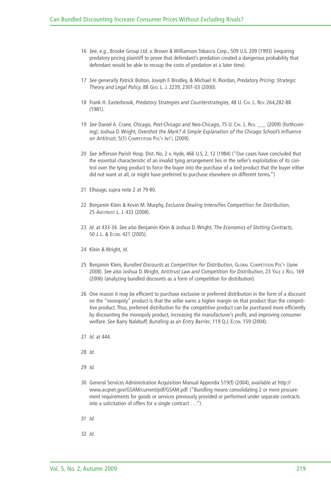- 16 *See*, *e.g.*, Brooke Group Ltd. v. Brown & Williamson Tobacco Corp., 509 U.S. 209 (1993) (requiring predatory pricing plaintiff to prove that defendant's predation created a dangerous probability that defendant would be able to recoup the costs of predation at a later time).
- 17 *See generally* Patrick Bolton, Joseph F. Brodley, & Michael H. Riordan, *Predatory Pricing: Strategic Theory and Legal Policy*, 88 GEO. L. J. 2239, 2301-03 (2000).
- 18 Frank H. Easterbrook, *Predatory Strategies and Counterstrategies*, 48 U. CHI. L. REV. 264,282-88 (1981).
- 19 *See* Daniel A. Crane, *Chicago, Post-Chicago and Neo-Chicago*, 75 U. CHI. L. REV. \_\_\_ (2009) (forthcoming); Joshua D. Wright, *Overshot the Mark? A Simple Explanation of the Chicago School's Influence on Antitrust*, 5(1) COMPETITION POL'Y INT'L (2009).
- 20 *See* Jefferson Parish Hosp. Dist. No. 2 v. Hyde, 466 U.S. 2, 12 (1984) ("Our cases have concluded that the essential characteristic of an invalid tying arrangement lies in the seller's exploitation of its control over the tying product to force the buyer into the purchase of a tied product that the buyer either did not want at all, or might have preferred to purchase elsewhere on different terms.")
- 21 Elhauge, *supra* note 2 at 79-80.
- 22 Benjamin Klein & Kevin M. Murphy, *Exclusive Dealing Intensifies Competition for Distribution*, 25 ANTITRUST L. J. 433 (2008).
- 23 *Id*. at 433-34. *See also* Benjamin Klein & Joshua D. Wright, *The Economics of Slotting Contracts*, 50 J. L. & ECON. 421 (2005).
- 24 Klein & Wright, *Id*.
- 25 Benjamin Klein, *Bundled Discounts as Competition for Distribution*, GLOBAL COMPETITION POL'Y (June 2008). *See also* Joshua D. Wright, *Antitrust Law and Competition for Distribution*, 23 YALE J. REG. 169 (2006) (analyzing bundled discounts as a form of competition for distribution).
- 26 One reason it may be efficient to purchase exclusive or preferred distribution in the form of a discount on the "monopoly" product is that the seller earns a higher margin on that product than the competitive product. Thus, preferred distribution for the competitive product can be purchased more efficiently by discounting the monopoly product, increasing the manufacturer's profit, and improving consumer welfare. *See* Barry Nalebuff, *Bundling as an Entry Barrier*, 119 Q.J. ECON. 159 (2004).
- 27 *Id*. at 444.
- 28 *Id.*
- 29 *Id.*
- 30 General Services Administration Acquisition Manual Appendix 519(f) (2004), *available at* http:// www.acqnet.gov/GSAM/current/pdf/GSAM.pdf. ("Bundling means consolidating 2 or more procurement requirements for goods or services previously provided or performed under separate contracts into a solicitation of offers for a single contract . . .").
- 31 *Id.*
- 32 *Id*.